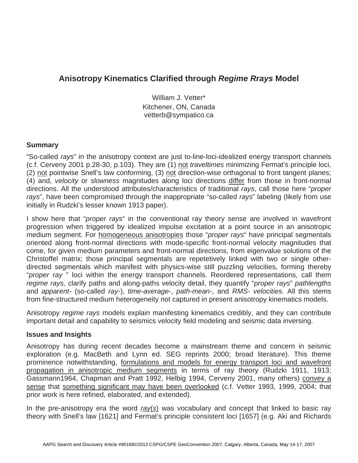# **Anisotropy Kinematics Clarified through** *Regime Rrays* **Model**

William J. Vetter\* Kitchener, ON, Canada vetterb@sympatico.ca

## **Summary**

"So-called *rays*" in the anisotropy context are just to-line-loci-idealized energy transport channels (c.f. Cerveny 2001 p.28-30, p.103). They are (1) not *traveltimes* minimizing Fermat's principle loci, (2) not pointwise Snell's law conforming, (3) not direction-wise orthagonal to front tangent planes; (4) and, *velocity* or *slowness* magnitudes along loci directions differ from those in front-normal directions. All the understood attributes/characteristics of traditional *rays*, call those here "*proper rays*", have been compromised through the inappropriate "so-called *rays*" labeling (likely from use initially in Rudzki's lesser known 1913 paper).

I show here that "*proper rays*" in the conventional ray theory sense are involved in wavefront progression when triggered by idealized impulse excitation at a point source in an anisotropic medium segment. For homogeneous anisotropies those "*proper rays*" have principal segmentals oriented along front-normal directions with mode-specific front-normal velocity magnitudes that come, for given medium parameters and front-normal directions, from eigenvalue solutions of the Christoffel matrix; those principal segmentals are repetetively linked with two or single otherdirected segmentals which manifest with physics-wise still puzzling velocities, forming thereby "*proper ray* " loci within the energy transport channels. Reordered representations, call them *regime rays,* clarify paths and along-paths velocity detail, they quantify "*proper rays*" *pathlengths* and *apparent-* (so-called *ray-*), *time-average*-, *path-mean-,* and *RMS- velocities.* All this stems from fine-structured medium heterogeneity not captured in present anisotropy kinematics models.

Anisotropy *regime rays* models explain manifesting kinematics credibly, and they can contribute important detail and capability to seismics velocity field modeling and seismic data inversing.

### **Issues and Insights**

Anisotropy has during recent decades become a mainstream theme and concern in seismic exploration (e.g. MacBeth and Lynn ed. SEG reprints 2000; broad literature). This theme prominence notwithstanding, formulations and models for energy transport loci and wavefront propagation in anisotropic medium segments in terms of ray theory (Rudzki 1911, 1913; Gassmann1964, Chapman and Pratt 1992, Helbig 1994, Cerveny 2001, many others) convey a sense that something significant may have been overlooked (c.f. Vetter 1993, 1999, 2004; that prior work is here refined, elaborated, and extended).

In the pre-anisotropy era the word *ray*(*s*) was vocabulary and concept that linked to basic ray theory with Snell's law [1621] and Fermat's principle consistent loci [1657] (e.g. Aki and Richards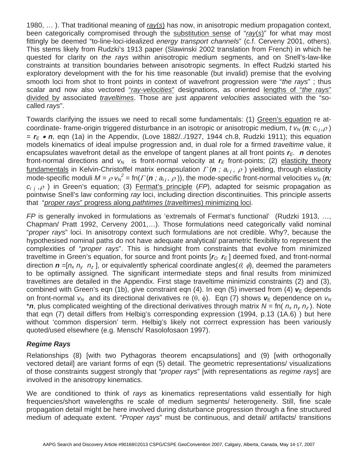1980, … ). That traditional meaning of *ray*(*s*) has now, in anisotropic medium propagation context, been categorically compromised through the substitution sense of "*ray*(*s*)" for what may most fittingly be deemed "to-line-loci-idealized *energy transport channels*" (c.f. Cerveny 2001, others). This stems likely from Rudzki's 1913 paper (Slawinski 2002 translation from French) in which he quested for clarity on *the rays* within anisotropic medium segments, and on Snell's-law-like constraints at transition boundaries between anisotropic segments. In effect Rudzki started his exploratory development with the for his time reasonable (but invalid) premise that the evolving smooth loci from shot to front points in context of wavefront progression were "*the rays*" ; thus scalar and now also vectored "*ray-velocities*" designations, as oriented lengths of "*the rays*" divided by associated *traveltimes*. Those are just *apparent velocities* associated with the "socalled *rays*".

Towards clarifying the issues we need to recall some fundamentals: (1) Green's equation re atcoordinate- frame-origin triggered disturbance in an isotropic or anisotropic medium, *t v<sub>N</sub>* (*n*; *c<sub>i j</sub>,p*)<br>  $\overline{a}$   $\overline{r}$  e  $\overline{r}$  eqn. (1a) in the Appendix (Love 1882/ /1927, 1944 ch.8. Rudzki 1911); this equ  $= r_F \cdot n$ , eqn (1a) in the Appendix, (Love 1882/../1927, 1944 ch.8, Rudzki 1911); this equation models kinematics of ideal impulse progression and, in dual role for a firmed *traveltime* value, it encapsulates wavefront detail as the envelope of tangent planes at all front points  $r_F$ . *n* denotes front-normal directions and  $v_N$  is front-normal velocity at  $r_E$  front-points; (2) elasticity theory fundamentals in Kelvin-Christoffel matrix encapsulation  $\Gamma(\mathbf{n}$ ;  $a_{ij}$ ,  $\rho$ <br>mode-specific moduli  $M = \rho W^2 - \ln(\Gamma(\mathbf{n} \cdot a_{ij}, \rho))$  the mode-specific fundamentals in Kelvin-Christoffel matrix encapsulation  $\Gamma$  ( $n$ ;  $a_{ij}$ ,  $\rho$ ) yielding, through elasticity mode-specific moduli  $M = \rho v_0^2 = \text{fn}(T(n; a_{ij}, \rho))$ , the mode-specific front-normal velocities  $v_N(n; a_{ij}, \rho)$  in Green's equation: (3) Fermat's principle (*FP*), adapted for seismic propagation as  $c_{i,i}, \rho$ ) in Green's equation; (3) Fermat's principle (*FP*), adapted for seismic propagation as *c<sub>i j</sub> ,* $\rho$ ) in Green's equation; (3) <u>Fermat's principle</u> (*FP*), adapted for seismic propagation as nointwise Snell's law conforming ray loci, including direction discontinuities. This principle asserts pointwise Snell's law conforming *ray* loci, including direction discontinuities. This principle asserts that "*proper rays*" progress along *pathtimes* (*traveltimes*) minimizing loci.

*FP* is generally invoked in formulations as 'extremals of Fermat's functional' (Rudzki 1913, …, Chapman/ Pratt 1992, Cerveny 2001,…). Those formulations need categorically valid nominal "*proper rays*" loci. In anisotropy context such formulations are not credible. Why?, because the hypothesised nominal paths do not have adequate analytical/ parametric flexibility to represent the complexities of "*proper rays*". This is hindsight from constraints that evolve from minimized traveltime in Green's equation, for source and front points  $[r_0, r_{\text{E}}]$  deemed fixed, and front-normal direction  $\mathbf{n} = [n_x n_y n_z]$ , or equivalently spherical coordinate angles( $\theta$ ,  $\phi$ ), deemed the parameters to be optimally assigned. The significant intermediate steps and final results from minimized traveltimes are detailed in the Appendix. First stage traveltime minimizid constraints (2) and (3), combined with Green's eqn (1b), give constraint eqn (4). In eqn (5) inversed from (4)  $v<sub>E</sub>$  depends on front-normal  $v_N$  and its directional derivatives re  $(\theta, \phi)$ . Eqn (7) shows  $v_E$  dependence on  $v_N$ \**n*, plus complicated weighting of the directional derivatives through matrix  $N = \text{fn}( n_x n_y n_z)$ . Note that eqn (7) detail differs from Helbig's corresponding expression (1994, p.13 (1A.6) ) but here without 'common dispersion' term. Helbig's likely not corrrect expression has been variously quoted/used elsewhere (e.g. Mensch/ Rasolofosaon 1997).

*Regime Rays*  Relationships (8) [with two Pythagoras theorem encapsulations] and (9) [with orthogonally vectored detail] are variant forms of eqn (5) detail. The geometric representations/ visualizations of those constraints suggest strongly that "*proper rays*" [with representations as *regime rays*] are involved in the anisotropy kinematics.

We are conditioned to think of *rays* as kinematics representations valid essentially for high frequencies/short wavelengths re scale of medium segments/ heterogeneity. Still, fine scale propagation detail might be here involved during disturbance progression through a fine structured medium of adequate extent. "*Proper rays*" must be continuous, and detail/ artifacts/ transitions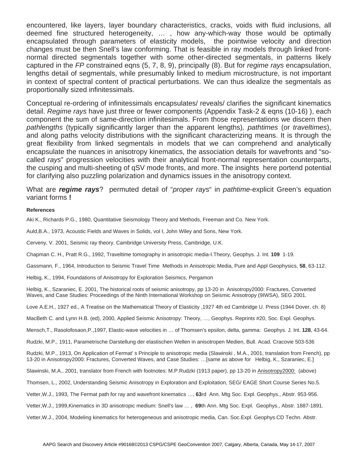encountered, like layers, layer boundary characteristics, cracks, voids with fluid inclusions, all deemed fine structured heterogeneity, … , how any-which-way those would be optimally encapsulated through parameters of elasticity models, the pointwise velocity and direction changes must be then Snell's law conforming. That is feasible in ray models through linked frontnormal directed segmentals together with some other-directed segmentals, in patterns likely captured in the *FP* constrained eqns (5, 7, 8, 9), principally (8). But for *regime rays* encapsulation, lengths detail of segmentals, while presumably linked to medium microstructure, is not important in context of spectral content of practical perturbations. We can thus idealize the segmentals as proportionally sized infinitessimals.

Conceptual re-ordering of infinitessimals encapsulates/ reveals/ clarifies the significant kinematics detail. *Regime rays* have just three or fewer components (Appendix Task-2 & eqns (10-16) ), each component the sum of same-direction infinitesimals. From those representations we discern then *pathlengths* (typically significantly larger than the apparent lengths)*, pathtimes* (or *traveltimes*), and along paths velocity distributions with the significant characterizing means. It is through the great flexibility from linked segmentals in models that we can comprehend and analytically encapsulate the nuances in anisotropy kinematics, the association details for wavefronts and "socalled *rays*" progression velocities with their analytical front-normal representation counterparts, the cusping and multi-sheeting of qSV mode fronts, and more. The insights here portend potential for clarifying also puzzling polarization and dynamics issues in the anisotropy context.

What are *regime rays*? permuted detail of "*proper rays*" in *pathtime*-explicit Green's equation variant forms **!**

### **References**

Aki K., Richards P.G., 1980, Quantitative Seismology Theory and Methods, Freeman and Co. New York.

Auld,B.A., 1973, Acoustic Fields and Waves in Solids, vol I, John Wiley and Sons, New York.

Cerveny, V. 2001, Seismic ray theory. Cambridge University Press, Cambridge, U.K.

Chapman C. H., Pratt R.G., 1992, Traveltime tomography in anisotropic media-I.Theory, Geophys. J. Int. **109** 1-19.

Gassmann, F., 1964, Introduction to Seismic Travel Time Methods in Anisotropic Media, Pure and Appl Geophysics, **58**, 63-112.

Helbig, K., 1994, Foundations of Anisotropy for Exploration Seismics, Pergamon

Helbig, K., Szaraniec, E. 2001, The historical roots of seismic anisotropy, pp 13-20 in Anisotropy2000: Fractures, Converted Waves, and Case Studies: Proceedings of the Ninth International Workshop on Seismic Anisotropy (9IWSA), SEG 2001.

Love A.E.H., 1927 ed., A Treatise on the Mathematical Theory of Elasticity ,1927 4th ed Cambridge U. Press (1944 Dover, ch. 8)

MacBeth C. and Lynn H.B. (ed), 2000, Applied Seismic Anisotropy: Theory, …, Geophys. Reprints #20, Soc. Expl. Geophys.

Mensch,T., Rasolofosaon,P.,1997, Elastic-wave velocities in … of Thomsen's epsilon, delta, gamma: Geophys. J. Int. **128**, 43-64.

Rudzki, M.P., 1911, Parametrische Darstellung der elastischen Wellen in anisotropen Medien, Bull. Acad. Cracovie 503-536

Rudzki, M.P., 1913, On Application of Fermat' s Principle to anisotropic media (Slawinski , M.A., 2001, translation from French), pp 13-20 in Anisotropy2000: Fractures, Converted Waves, and Case Studies: …[same as above for Helbig, K., Szaraniec, E.]

Slawinski, M.A., 2001, translator from French with footnotes: M.P.Rudzki (1913 paper), pp 13-20 in Anisotropy2000: (above)

Thomsen, L., 2002, Understanding Seismic Anisotropy in Exploration and Exploitation, SEG/ EAGE Short Course Series No.5.

Vetter,W.J., 1993, The Fermat path for ray and wavefront kinematics …, **63**rd Ann. Mtg Soc. Expl. Geophys., Abstr. 953-956.

Vetter,W.J., 1999,Kinematics in 3D anisotropic medium: Snell's law … , **69**th Ann. Mtg Soc. Expl. Geophys., Abstr. 1887-1891.

Vetter,W.J., 2004, Modeling kinematics for heterogeneous and anisotropic media, Can. Soc.Expl. Geophys.CD Techn. Abstr.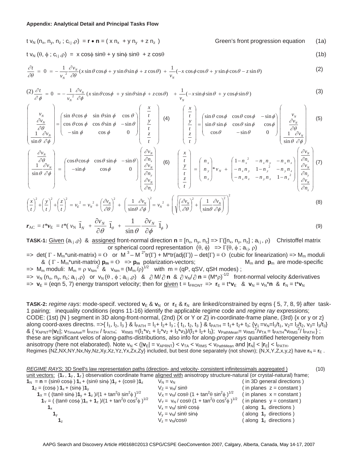### **Appendix: Analytical Detail and Principal Tasks Flow**

$$
t v_N (n_x, n_y, n_z; c_{ij}, \rho) = \mathbf{r} \cdot \mathbf{n} = (x n_x + y n_y + z n_z)
$$
 Green's front progression equation (1a)

 $t v_N(\theta, \phi; c_{ij}, \rho) = x \cos \phi \sin \theta + y \sin \phi \sin \theta + z \cos \theta$  (1b)

$$
\frac{\partial t}{\partial \theta} = 0 = -\frac{1}{v_N^2} \frac{\partial v_N}{\partial \theta} (x \sin \theta \cos \phi + y \sin \theta \sin \phi + z \cos \theta) + \frac{1}{v_N} (-x \cos \phi \cos \theta + y \sin \phi \cos \theta - z \sin \theta)
$$
(2)

$$
(2)\frac{\partial t}{\partial \phi} = 0 = -\frac{1}{v_N^2} \frac{\partial v_N}{\partial \phi} (x \sin \theta \cos \phi + y \sin \theta \sin \phi + z \cos \theta) + \frac{1}{v_N} (-x \sin \phi \sin \theta + y \cos \phi \sin \theta)
$$
(3)

$$
\begin{pmatrix}\nv_{N} \\
\frac{\partial v_{N}}{\partial \theta} \\
\frac{1}{\sin \theta} \frac{\partial v_{N}}{\partial \phi}\n\end{pmatrix} = \begin{pmatrix}\n\sin \theta \cos \phi & \sin \theta \sin \phi & \cos \theta \\
\cos \theta \cos \phi & \cos \theta \sin \phi & -\sin \theta \\
-\sin \phi & \cos \phi & 0\n\end{pmatrix} \begin{pmatrix}\n\frac{x}{t} \\
\frac{y}{t} \\
\frac{z}{t}\n\end{pmatrix} \begin{pmatrix}\n4 \\
\theta\n\end{pmatrix} \begin{pmatrix}\n\frac{x}{t} \\
\frac{y}{t} \\
\frac{z}{t}\n\end{pmatrix} = \begin{pmatrix}\n\sin \theta \cos \phi & \cos \theta \cos \phi & -\sin \phi \\
\sin \theta \sin \phi & \cos \theta \sin \phi & \cos \phi \\
\cos \theta & -\sin \theta & 0\n\end{pmatrix} \begin{pmatrix}\nv_{N} \\
\frac{\partial v_{N}}{\partial \theta} \\
\frac{1}{\sin \theta} \frac{\partial v_{N}}{\partial \phi}\n\end{pmatrix}
$$
\n(5)

$$
\begin{pmatrix}\n\frac{\partial v_N}{\partial \theta} \\
\frac{1}{\sin \theta} \frac{\partial v_N}{\partial \phi}\n\end{pmatrix} = \begin{pmatrix}\n\cos \theta \cos \phi & \cos \theta \sin \phi & -\sin \theta \\
-\sin \phi & \cos \phi & 0\n\end{pmatrix} \begin{pmatrix}\n\frac{\partial v_N}{\partial n_x} \\
\frac{\partial v_N}{\partial n_y} \\
\frac{\partial v_N}{\partial n_z}\n\end{pmatrix} \quad (6) \quad \begin{pmatrix}\nx \\
t \\
y \\
t \\
z \\
t\n\end{pmatrix} = \begin{pmatrix}\nn_x \\
n_y \\
n_z\n\end{pmatrix} * v_N + \begin{pmatrix}\n1 - n_x^2 & -n_x n_y & -n_x n_z \\
-n_x n_y & 1 - n_y^2 & -n_y n_z \\
-n_x n_z & -n_y n_z & 1 - n_z^2\n\end{pmatrix} \begin{pmatrix}\n\frac{\partial v_N}{\partial n_x} \\
\frac{\partial v_N}{\partial n_y} \\
\frac{\partial v_N}{\partial n_z}\n\end{pmatrix}
$$
(7)

$$
\left(\frac{x}{t}\right)^2 + \left(\frac{y}{t}\right)^2 + \left(\frac{z}{t}\right)^2 = v_E^2 = v_N^2 + \left(\frac{\partial v_N}{\partial \theta}\right)^2 + \left(\frac{1}{\sin \theta} \frac{\partial v_N}{\partial \phi}\right)^2 = v_N^2 + \left(\sqrt{\left(\frac{\partial v_N}{\partial \theta}\right)^2 + \left(\frac{1}{\sin \theta} \frac{\partial v_N}{\partial \phi}\right)^2}\right)^2
$$
\n
$$
\mathbf{r}_{\text{AC}} = t^* \mathbf{v}_{\text{E}} = t^* \left(v_N \vec{1}_N + \frac{\partial v_N}{\partial \theta} \vec{1}_\theta + \frac{1}{\sin \theta} \frac{\partial v_N}{\partial \phi} \vec{1}_\phi\right)
$$
\n(9)

**TASK-1:** Given  $(a_{i,j}, p)$  & assigned front-normal direction  $n = [n_x, n_y, n_z] = \sum [n_x, n_y, n_z]$ ;  $a_{i,j}, p$  Christoffel matrix or spherical coord representation  $(\theta, \phi)$  =>  $\Gamma(\theta, \phi; a_{i,j}, \rho)$ 

- $\Rightarrow$  det(  $\Gamma$  M<sub>m</sub>\*unit-matrix) =  $\text{O}$  or M<sup>3</sup> M<sup>2\*</sup>tr( $\Gamma$ ) + M\*tr(adj( $\Gamma$ )) det( $\Gamma$ ) =  $\text{O}$  (cubic for linearization) => M<sub>m</sub> moduli &  $(\Gamma - M_m^*$ unit-matrix)  $p_m = 0 \implies p_m$  polarization-vectors; M<sub>m</sub> and  $p_m$  are mode-specific
- $\Rightarrow$  M<sub>m</sub> moduli: M<sub>m</sub> =  $\rho$  v<sub>Nm</sub><sup>2</sup> & v<sub>Nm</sub> = (M<sub>m</sub>/ $\rho$ )<sup>1/2</sup> with m = (qP, qSV, qSH modes);  $\Rightarrow$  v<sub>N</sub> (n<sub>x</sub>, n<sub>y</sub>, n<sub>z</sub>; a<sub>ij</sub>,  $\rho$ ) or v<sub>N</sub> ( $\theta$ ,  $\phi$ ; a<sub>ij</sub>, $\rho$ ) &  $\partial M/\partial n$  &  $\partial v_N/\partial n = (M^* \rho)^{-1/2}$  front-normal velocity & derivatives  $\epsilon > v_E = ($ eqn 5, 7) energy transport velocity; then for given  $t = t_{FROM} = v_F = t^*v_E$  &  $v_N = v_N^*n$  &  $r_N = t^*v_N$

**TASK-2:** *regime rays*: mode-specif. vectored  $v_E \& v_N$  or  $r_E \& r_N$  are linked/constrained by eqns { 5, 7, 8, 9} after task-1 pairing; inequality conditions (eqns 11-16) identify the applicable regime code and *regime ray* expressions; CODE: (1st) {N } segment in 3D along-front-normal, (2nd) {X or Y or Z} in-coordinate-frame plane, (3rd) {x or y or z} along coord-axes directns. =>{ l<sub>1</sub>, l<sub>2</sub>, l<sub>3</sub> } & l<sub>PATH</sub> = l<sub>1</sub>+ l<sub>2</sub>+ l<sub>3</sub>; { t<sub>1</sub>, t<sub>2</sub>, t<sub>3</sub> } & t<sub>PATH</sub> = t<sub>1</sub>+ t<sub>2</sub>+ t<sub>3</sub>; { $v_1 = v_N = l_1/t_1$ ,  $v_2 = l_2/t_2$ ,  $v_3 = l_3/t_3$ }  $& \{v_{APNT} = |v_E|; v_{TimeAve} = |p_{ATH}/t_{PATH}; v_{RMS} = (l_1 * v_1 + l_2 * v_2 + l_3 * v_3)/(l_1 + l_2 + l_3); v_{PathMean} = v_{RMS}^2/v_{TA} = t_{PATH} * v_{RMS}^2/l_{PATH};$ these are significant velos of along-paths-distributions, also info for along-*proper rays* quantified heterogeneity from anisotropy (here not elaborated). Note  $v_N < (|\mathbf{v}_E| = v_{APRNT}) < v_{TA} < v_{RMS} < v_{PathMean}$  and  $|\mathbf{r}_N| < |\mathbf{r}_E| < |\mathbf{r}_{ATH}$ . Regimes {NZ,NX,NY,Nx,Ny,Nz,Xy,Xz,Yz,Yx,Zx,Zy} included, but best done separately (not shown); {N,X,Y,Z,x,y,z} have  $\bf{r}_N = \bf{r}_E$ .

*REGIME RAYS*; 3D Snell's law representation paths (direction- and velocity- consistent infinitessimals aggregated ) (10) unit vectors:  $\{1_x, 1_y, 1_z\}$  observation coordinate frame aligned with anisotropy structure-natural (or crystal-natural) frame;  $\mathbf{1}_N = \mathbf{n} = (\sin\theta \cos\phi) \mathbf{1}_\mathbf{x} + (\sin\theta \sin\phi) \mathbf{1}_\mathbf{y} + (\cos\theta) \mathbf{1}_\mathbf{z}$  V<sub>N</sub> = v<sub>N</sub> (in 3D general directions )  $\mathbf{1}_Z = (\cos \phi) \mathbf{1}_x + (\sin \phi) \mathbf{1}_y$   $\qquad \qquad \mathbf{1}_Z = \mathbf{1}_W / \sin \theta$  ( in planes z = constant )  $\mathbf{1}_X = ($  (tan $\theta$  sin $\phi$  ) $\mathbf{1}_Y + \mathbf{1}_Z$  )/(1 + tan<sup>2</sup> $\theta$  sin<sup>2</sup>  $\phi$ )<sup>1/2</sup>  $V_X = v_N / \cos \theta (1 + \tan^2 \theta \sin^2 \theta)$  $(iin planes x = constant)$  $\mathbf{1}_Y = ($  (tan $\theta$  cos $\phi$ ) $\mathbf{1}_x + \mathbf{1}_z$ )/(1 + tan<sup>2</sup> $\theta$  cos<sup>2</sup>  $\phi$ )<sup>1/2</sup> V<sub>Y</sub> = v<sub>N</sub>/cos $\theta$  (1 + tan<sup>2</sup> $\theta$  cos<sup>2</sup>  $(i)$  in planes  $y = constant$ ) **1**<sub>x</sub><br> **1**<sub>x</sub><br> **1**<sub>y</sub> = v<sub>N</sub>/ sin $\theta$  cos $\phi$  ( along **1**<sub>x</sub> directions )<br> **1**<sub>y</sub> = v<sub>N</sub>/ sin $\theta$  sin $\phi$  ( along **1**<sub>y</sub> directions )  $V_y = v_N / \sin\theta \sin\phi$  ( along **1**<sub>y</sub> directions )  $V_z = v_N/cos\theta$  (along 1<sub>z</sub> directions )